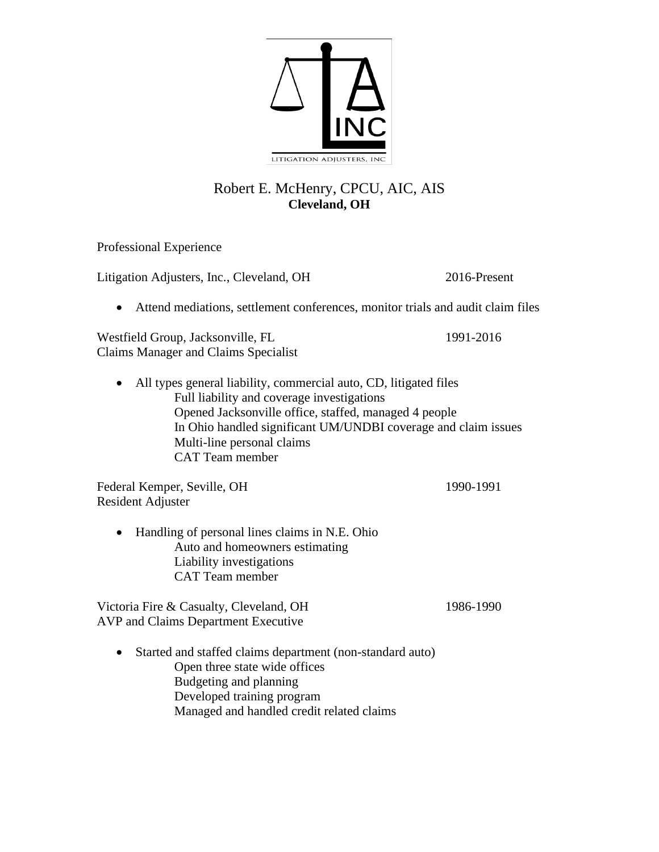

## Robert E. McHenry, CPCU, AIC, AIS **Cleveland, OH**

Professional Experience

Litigation Adjusters, Inc., Cleveland, OH 2016-Present

• Attend mediations, settlement conferences, monitor trials and audit claim files

Westfield Group, Jacksonville, FL 1991-2016 Claims Manager and Claims Specialist

• All types general liability, commercial auto, CD, litigated files Full liability and coverage investigations Opened Jacksonville office, staffed, managed 4 people In Ohio handled significant UM/UNDBI coverage and claim issues Multi-line personal claims CAT Team member

Federal Kemper, Seville, OH 1990-1991 Resident Adjuster

• Handling of personal lines claims in N.E. Ohio Auto and homeowners estimating Liability investigations CAT Team member

Victoria Fire & Casualty, Cleveland, OH 1986-1990 AVP and Claims Department Executive

• Started and staffed claims department (non-standard auto) Open three state wide offices Budgeting and planning Developed training program Managed and handled credit related claims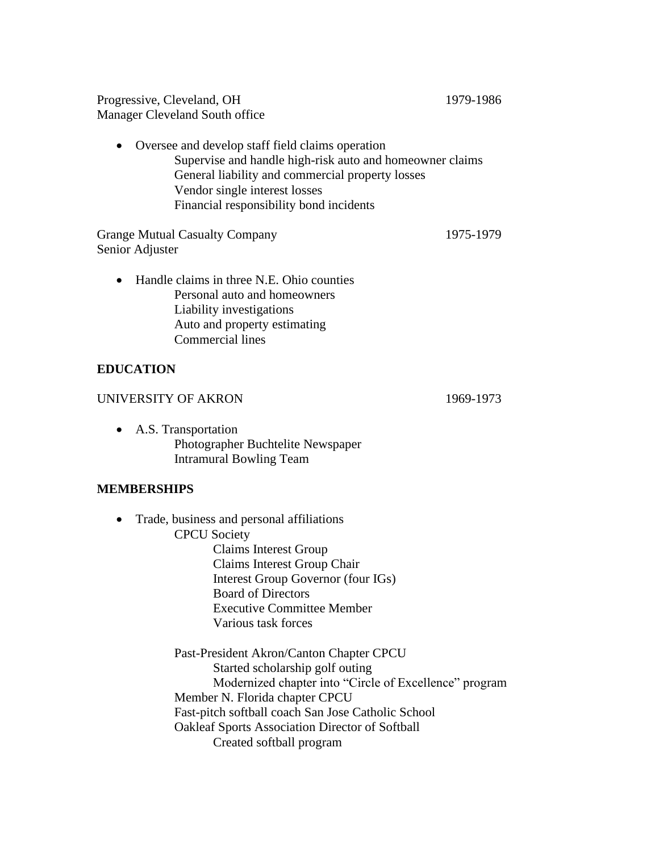Progressive, Cleveland, OH 1979-1986 Manager Cleveland South office

• Oversee and develop staff field claims operation Supervise and handle high-risk auto and homeowner claims General liability and commercial property losses Vendor single interest losses Financial responsibility bond incidents

Grange Mutual Casualty Company 1975-1979 Senior Adjuster

• Handle claims in three N.E. Ohio counties Personal auto and homeowners Liability investigations Auto and property estimating Commercial lines

## **EDUCATION**

## UNIVERSITY OF AKRON 1969-1973

• A.S. Transportation Photographer Buchtelite Newspaper Intramural Bowling Team

## **MEMBERSHIPS**

• Trade, business and personal affiliations CPCU Society Claims Interest Group Claims Interest Group Chair Interest Group Governor (four IGs) Board of Directors Executive Committee Member

Various task forces

Past-President Akron/Canton Chapter CPCU Started scholarship golf outing Modernized chapter into "Circle of Excellence" program Member N. Florida chapter CPCU Fast-pitch softball coach San Jose Catholic School Oakleaf Sports Association Director of Softball Created softball program